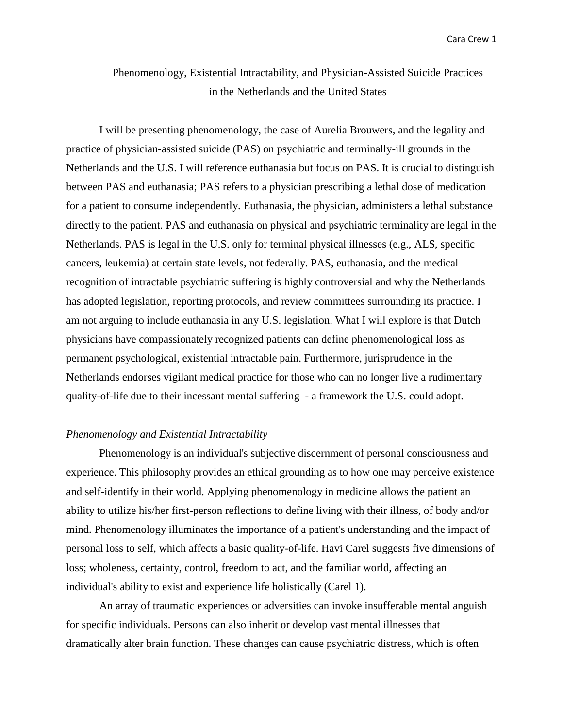# Phenomenology, Existential Intractability, and Physician-Assisted Suicide Practices in the Netherlands and the United States

I will be presenting phenomenology, the case of Aurelia Brouwers, and the legality and practice of physician-assisted suicide (PAS) on psychiatric and terminally-ill grounds in the Netherlands and the U.S. I will reference euthanasia but focus on PAS. It is crucial to distinguish between PAS and euthanasia; PAS refers to a physician prescribing a lethal dose of medication for a patient to consume independently. Euthanasia, the physician, administers a lethal substance directly to the patient. PAS and euthanasia on physical and psychiatric terminality are legal in the Netherlands. PAS is legal in the U.S. only for terminal physical illnesses (e.g., ALS, specific cancers, leukemia) at certain state levels, not federally. PAS, euthanasia, and the medical recognition of intractable psychiatric suffering is highly controversial and why the Netherlands has adopted legislation, reporting protocols, and review committees surrounding its practice. I am not arguing to include euthanasia in any U.S. legislation. What I will explore is that Dutch physicians have compassionately recognized patients can define phenomenological loss as permanent psychological, existential intractable pain. Furthermore, jurisprudence in the Netherlands endorses vigilant medical practice for those who can no longer live a rudimentary quality-of-life due to their incessant mental suffering - a framework the U.S. could adopt.

#### *Phenomenology and Existential Intractability*

Phenomenology is an individual's subjective discernment of personal consciousness and experience. This philosophy provides an ethical grounding as to how one may perceive existence and self-identify in their world. Applying phenomenology in medicine allows the patient an ability to utilize his/her first-person reflections to define living with their illness, of body and/or mind. Phenomenology illuminates the importance of a patient's understanding and the impact of personal loss to self, which affects a basic quality-of-life. Havi Carel suggests five dimensions of loss; wholeness, certainty, control, freedom to act, and the familiar world, affecting an individual's ability to exist and experience life holistically (Carel 1).

An array of traumatic experiences or adversities can invoke insufferable mental anguish for specific individuals. Persons can also inherit or develop vast mental illnesses that dramatically alter brain function. These changes can cause psychiatric distress, which is often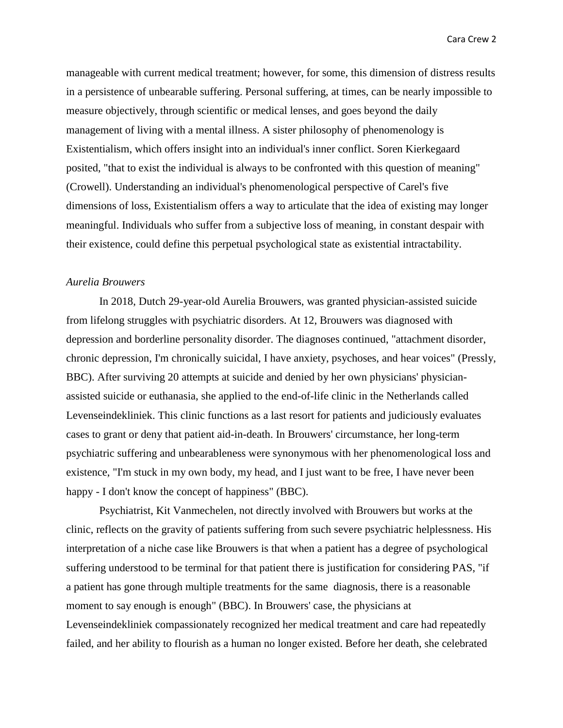manageable with current medical treatment; however, for some, this dimension of distress results in a persistence of unbearable suffering. Personal suffering, at times, can be nearly impossible to measure objectively, through scientific or medical lenses, and goes beyond the daily management of living with a mental illness. A sister philosophy of phenomenology is Existentialism, which offers insight into an individual's inner conflict. Soren Kierkegaard posited, "that to exist the individual is always to be confronted with this question of meaning" (Crowell). Understanding an individual's phenomenological perspective of Carel's five dimensions of loss, Existentialism offers a way to articulate that the idea of existing may longer meaningful. Individuals who suffer from a subjective loss of meaning, in constant despair with their existence, could define this perpetual psychological state as existential intractability.

#### *Aurelia Brouwers*

In 2018, Dutch 29-year-old Aurelia Brouwers, was granted physician-assisted suicide from lifelong struggles with psychiatric disorders. At 12, Brouwers was diagnosed with depression and borderline personality disorder. The diagnoses continued, "attachment disorder, chronic depression, I'm chronically suicidal, I have anxiety, psychoses, and hear voices" (Pressly, BBC). After surviving 20 attempts at suicide and denied by her own physicians' physicianassisted suicide or euthanasia, she applied to the end-of-life clinic in the Netherlands called Levenseindekliniek. This clinic functions as a last resort for patients and judiciously evaluates cases to grant or deny that patient aid-in-death. In Brouwers' circumstance, her long-term psychiatric suffering and unbearableness were synonymous with her phenomenological loss and existence, "I'm stuck in my own body, my head, and I just want to be free, I have never been happy - I don't know the concept of happiness" (BBC).

Psychiatrist, Kit Vanmechelen, not directly involved with Brouwers but works at the clinic, reflects on the gravity of patients suffering from such severe psychiatric helplessness. His interpretation of a niche case like Brouwers is that when a patient has a degree of psychological suffering understood to be terminal for that patient there is justification for considering PAS, "if a patient has gone through multiple treatments for the same diagnosis, there is a reasonable moment to say enough is enough" (BBC). In Brouwers' case, the physicians at Levenseindekliniek compassionately recognized her medical treatment and care had repeatedly failed, and her ability to flourish as a human no longer existed. Before her death, she celebrated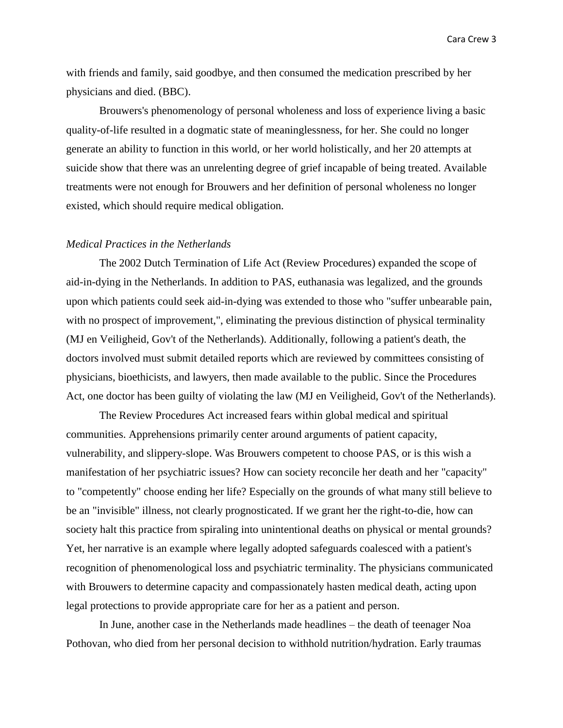with friends and family, said goodbye, and then consumed the medication prescribed by her physicians and died. (BBC).

Brouwers's phenomenology of personal wholeness and loss of experience living a basic quality-of-life resulted in a dogmatic state of meaninglessness, for her. She could no longer generate an ability to function in this world, or her world holistically, and her 20 attempts at suicide show that there was an unrelenting degree of grief incapable of being treated. Available treatments were not enough for Brouwers and her definition of personal wholeness no longer existed, which should require medical obligation.

#### *Medical Practices in the Netherlands*

The 2002 Dutch Termination of Life Act (Review Procedures) expanded the scope of aid-in-dying in the Netherlands. In addition to PAS, euthanasia was legalized, and the grounds upon which patients could seek aid-in-dying was extended to those who "suffer unbearable pain, with no prospect of improvement,", eliminating the previous distinction of physical terminality (MJ en Veiligheid, Gov't of the Netherlands). Additionally, following a patient's death, the doctors involved must submit detailed reports which are reviewed by committees consisting of physicians, bioethicists, and lawyers, then made available to the public. Since the Procedures Act, one doctor has been guilty of violating the law (MJ en Veiligheid, Gov't of the Netherlands).

The Review Procedures Act increased fears within global medical and spiritual communities. Apprehensions primarily center around arguments of patient capacity, vulnerability, and slippery-slope. Was Brouwers competent to choose PAS, or is this wish a manifestation of her psychiatric issues? How can society reconcile her death and her "capacity" to "competently" choose ending her life? Especially on the grounds of what many still believe to be an "invisible" illness, not clearly prognosticated. If we grant her the right-to-die, how can society halt this practice from spiraling into unintentional deaths on physical or mental grounds? Yet, her narrative is an example where legally adopted safeguards coalesced with a patient's recognition of phenomenological loss and psychiatric terminality. The physicians communicated with Brouwers to determine capacity and compassionately hasten medical death, acting upon legal protections to provide appropriate care for her as a patient and person.

In June, another case in the Netherlands made headlines – the death of teenager Noa Pothovan, who died from her personal decision to withhold nutrition/hydration. Early traumas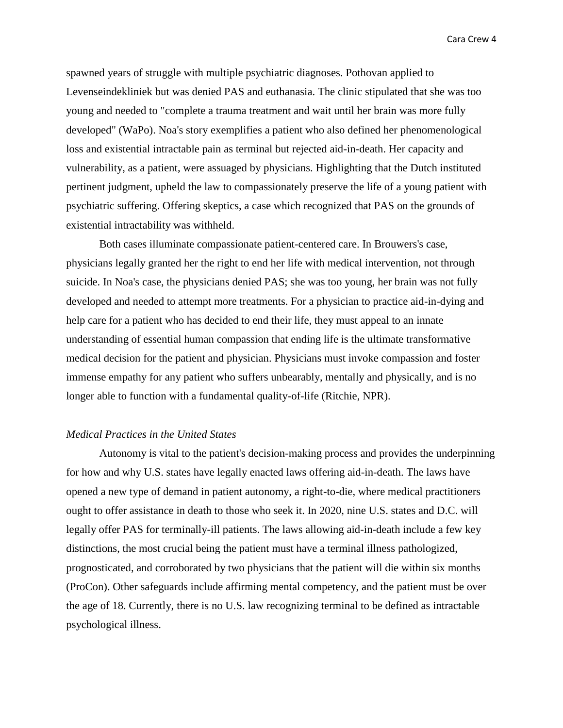spawned years of struggle with multiple psychiatric diagnoses. Pothovan applied to Levenseindekliniek but was denied PAS and euthanasia. The clinic stipulated that she was too young and needed to "complete a trauma treatment and wait until her brain was more fully developed" (WaPo). Noa's story exemplifies a patient who also defined her phenomenological loss and existential intractable pain as terminal but rejected aid-in-death. Her capacity and vulnerability, as a patient, were assuaged by physicians. Highlighting that the Dutch instituted pertinent judgment, upheld the law to compassionately preserve the life of a young patient with psychiatric suffering. Offering skeptics, a case which recognized that PAS on the grounds of existential intractability was withheld.

Both cases illuminate compassionate patient-centered care. In Brouwers's case, physicians legally granted her the right to end her life with medical intervention, not through suicide. In Noa's case, the physicians denied PAS; she was too young, her brain was not fully developed and needed to attempt more treatments. For a physician to practice aid-in-dying and help care for a patient who has decided to end their life, they must appeal to an innate understanding of essential human compassion that ending life is the ultimate transformative medical decision for the patient and physician. Physicians must invoke compassion and foster immense empathy for any patient who suffers unbearably, mentally and physically, and is no longer able to function with a fundamental quality-of-life (Ritchie, NPR).

## *Medical Practices in the United States*

Autonomy is vital to the patient's decision-making process and provides the underpinning for how and why U.S. states have legally enacted laws offering aid-in-death. The laws have opened a new type of demand in patient autonomy, a right-to-die, where medical practitioners ought to offer assistance in death to those who seek it. In 2020, nine U.S. states and D.C. will legally offer PAS for terminally-ill patients. The laws allowing aid-in-death include a few key distinctions, the most crucial being the patient must have a terminal illness pathologized, prognosticated, and corroborated by two physicians that the patient will die within six months (ProCon). Other safeguards include affirming mental competency, and the patient must be over the age of 18. Currently, there is no U.S. law recognizing terminal to be defined as intractable psychological illness.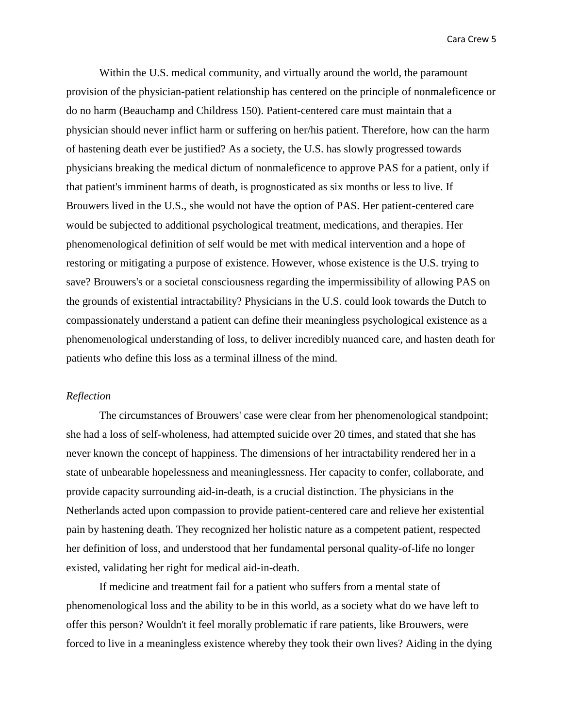Within the U.S. medical community, and virtually around the world, the paramount provision of the physician-patient relationship has centered on the principle of nonmaleficence or do no harm (Beauchamp and Childress 150). Patient-centered care must maintain that a physician should never inflict harm or suffering on her/his patient. Therefore, how can the harm of hastening death ever be justified? As a society, the U.S. has slowly progressed towards physicians breaking the medical dictum of nonmaleficence to approve PAS for a patient, only if that patient's imminent harms of death, is prognosticated as six months or less to live. If Brouwers lived in the U.S., she would not have the option of PAS. Her patient-centered care would be subjected to additional psychological treatment, medications, and therapies. Her phenomenological definition of self would be met with medical intervention and a hope of restoring or mitigating a purpose of existence. However, whose existence is the U.S. trying to save? Brouwers's or a societal consciousness regarding the impermissibility of allowing PAS on the grounds of existential intractability? Physicians in the U.S. could look towards the Dutch to compassionately understand a patient can define their meaningless psychological existence as a phenomenological understanding of loss, to deliver incredibly nuanced care, and hasten death for patients who define this loss as a terminal illness of the mind.

### *Reflection*

The circumstances of Brouwers' case were clear from her phenomenological standpoint; she had a loss of self-wholeness, had attempted suicide over 20 times, and stated that she has never known the concept of happiness. The dimensions of her intractability rendered her in a state of unbearable hopelessness and meaninglessness. Her capacity to confer, collaborate, and provide capacity surrounding aid-in-death, is a crucial distinction. The physicians in the Netherlands acted upon compassion to provide patient-centered care and relieve her existential pain by hastening death. They recognized her holistic nature as a competent patient, respected her definition of loss, and understood that her fundamental personal quality-of-life no longer existed, validating her right for medical aid-in-death.

If medicine and treatment fail for a patient who suffers from a mental state of phenomenological loss and the ability to be in this world, as a society what do we have left to offer this person? Wouldn't it feel morally problematic if rare patients, like Brouwers, were forced to live in a meaningless existence whereby they took their own lives? Aiding in the dying